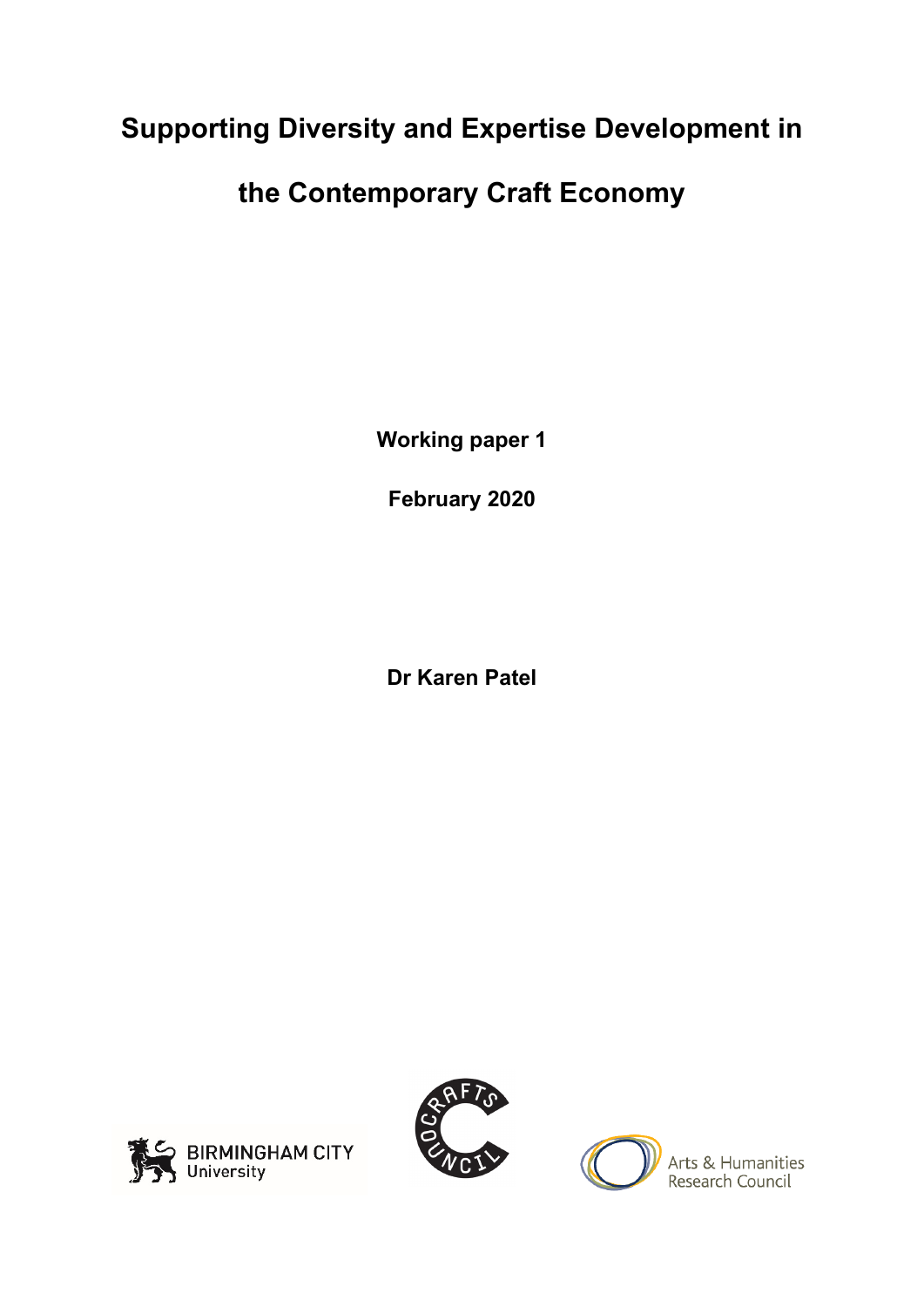# **Supporting Diversity and Expertise Development in**

# **the Contemporary Craft Economy**

**Working paper 1**

**February 2020**

**Dr Karen Patel**





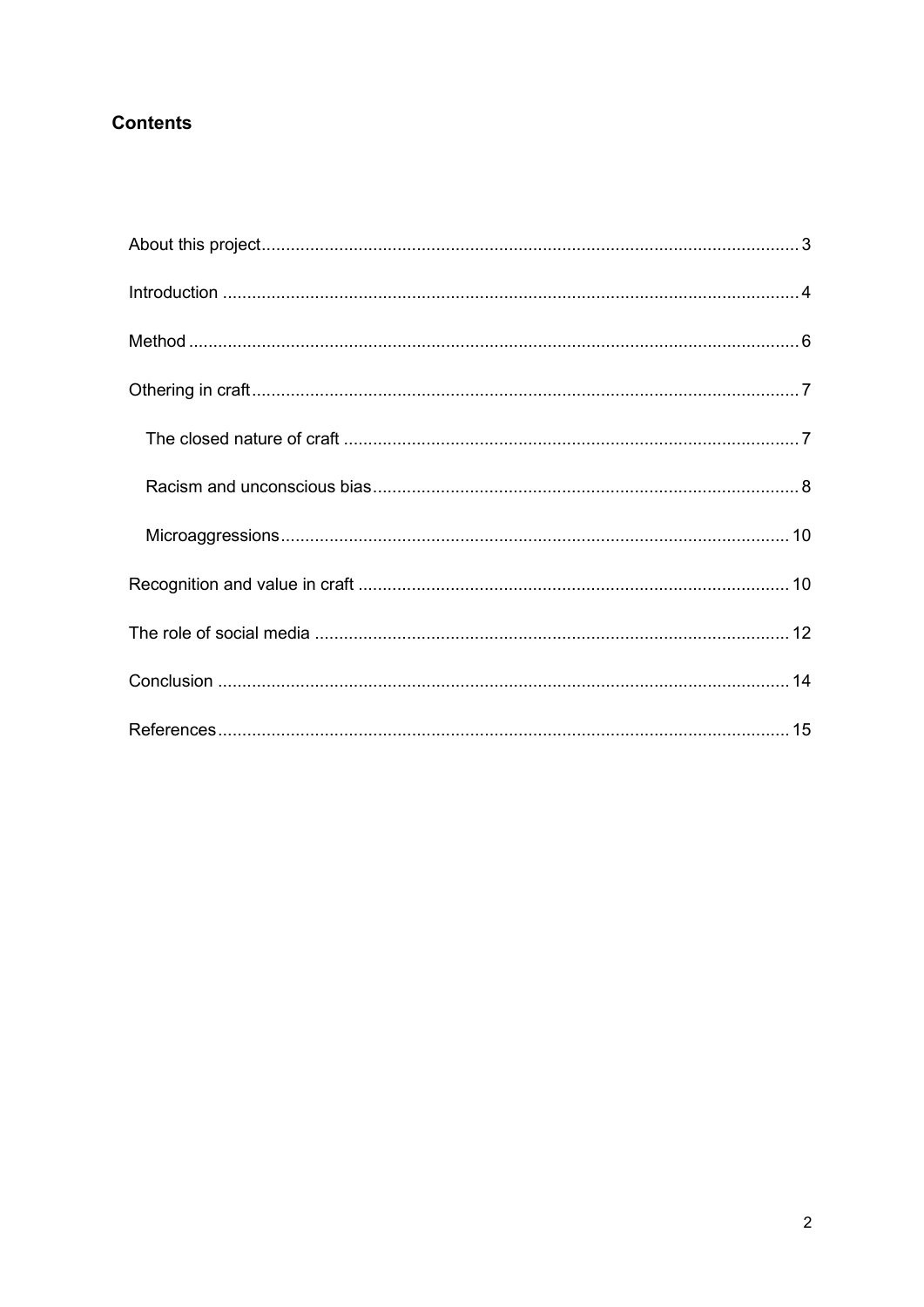## **Contents**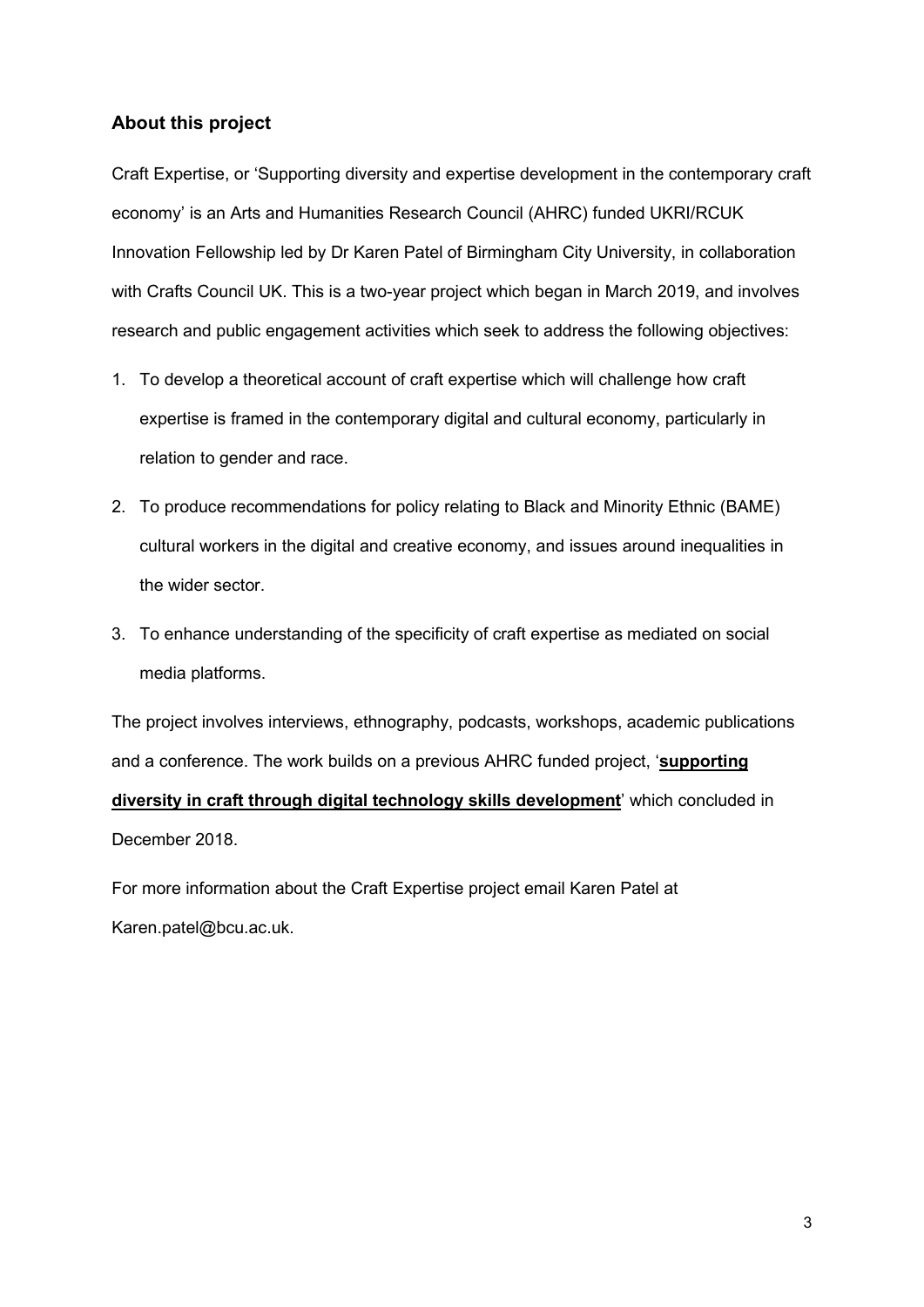### <span id="page-2-0"></span>**About this project**

Craft Expertise, or 'Supporting diversity and expertise development in the contemporary craft economy' is an Arts and Humanities Research Council (AHRC) funded UKRI/RCUK Innovation Fellowship led by Dr Karen Patel of Birmingham City University, in collaboration with Crafts Council UK. This is a two-year project which began in March 2019, and involves research and public engagement activities which seek to address the following objectives:

- 1. To develop a theoretical account of craft expertise which will challenge how craft expertise is framed in the contemporary digital and cultural economy, particularly in relation to gender and race.
- 2. To produce recommendations for policy relating to Black and Minority Ethnic (BAME) cultural workers in the digital and creative economy, and issues around inequalities in the wider sector.
- 3. To enhance understanding of the specificity of craft expertise as mediated on social media platforms.

The project involves interviews, ethnography, podcasts, workshops, academic publications and a conference. The work builds on a previous AHRC funded project, '**[supporting](https://www.bcu.ac.uk/media/research/supporting-diversity-in-the-craft-economy)  [diversity in craft through digital technology skills development](https://www.bcu.ac.uk/media/research/supporting-diversity-in-the-craft-economy)**' which concluded in December 2018.

For more information about the Craft Expertise project email Karen Patel at Karen.patel@bcu.ac.uk.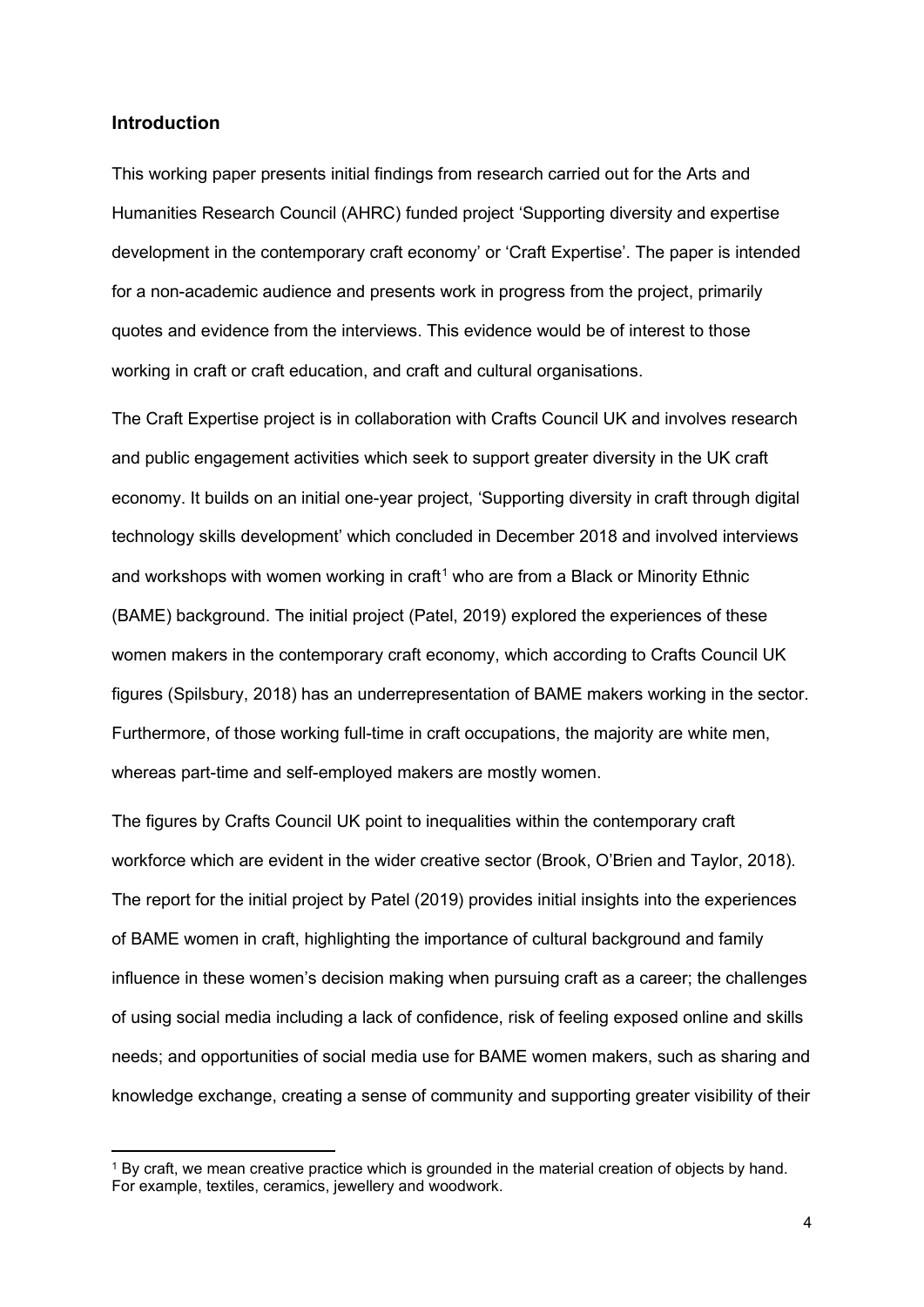#### <span id="page-3-0"></span>**Introduction**

This working paper presents initial findings from research carried out for the Arts and Humanities Research Council (AHRC) funded project 'Supporting diversity and expertise development in the contemporary craft economy' or 'Craft Expertise'. The paper is intended for a non-academic audience and presents work in progress from the project, primarily quotes and evidence from the interviews. This evidence would be of interest to those working in craft or craft education, and craft and cultural organisations.

The Craft Expertise project is in collaboration with Crafts Council UK and involves research and public engagement activities which seek to support greater diversity in the UK craft economy. It builds on an initial one-year project, 'Supporting diversity in craft through digital technology skills development' which concluded in December 2018 and involved interviews and workshops with women working in craft<sup>[1](#page-3-1)</sup> who are from a Black or Minority Ethnic (BAME) background. The initial project (Patel, 2019) explored the experiences of these women makers in the contemporary craft economy, which according to Crafts Council UK figures (Spilsbury, 2018) has an underrepresentation of BAME makers working in the sector. Furthermore, of those working full-time in craft occupations, the majority are white men, whereas part-time and self-employed makers are mostly women.

The figures by Crafts Council UK point to inequalities within the contemporary craft workforce which are evident in the wider creative sector (Brook, O'Brien and Taylor, 2018). The report for the initial project by Patel (2019) provides initial insights into the experiences of BAME women in craft, highlighting the importance of cultural background and family influence in these women's decision making when pursuing craft as a career; the challenges of using social media including a lack of confidence, risk of feeling exposed online and skills needs; and opportunities of social media use for BAME women makers, such as sharing and knowledge exchange, creating a sense of community and supporting greater visibility of their

<span id="page-3-1"></span><sup>1</sup> By craft, we mean creative practice which is grounded in the material creation of objects by hand. For example, textiles, ceramics, jewellery and woodwork.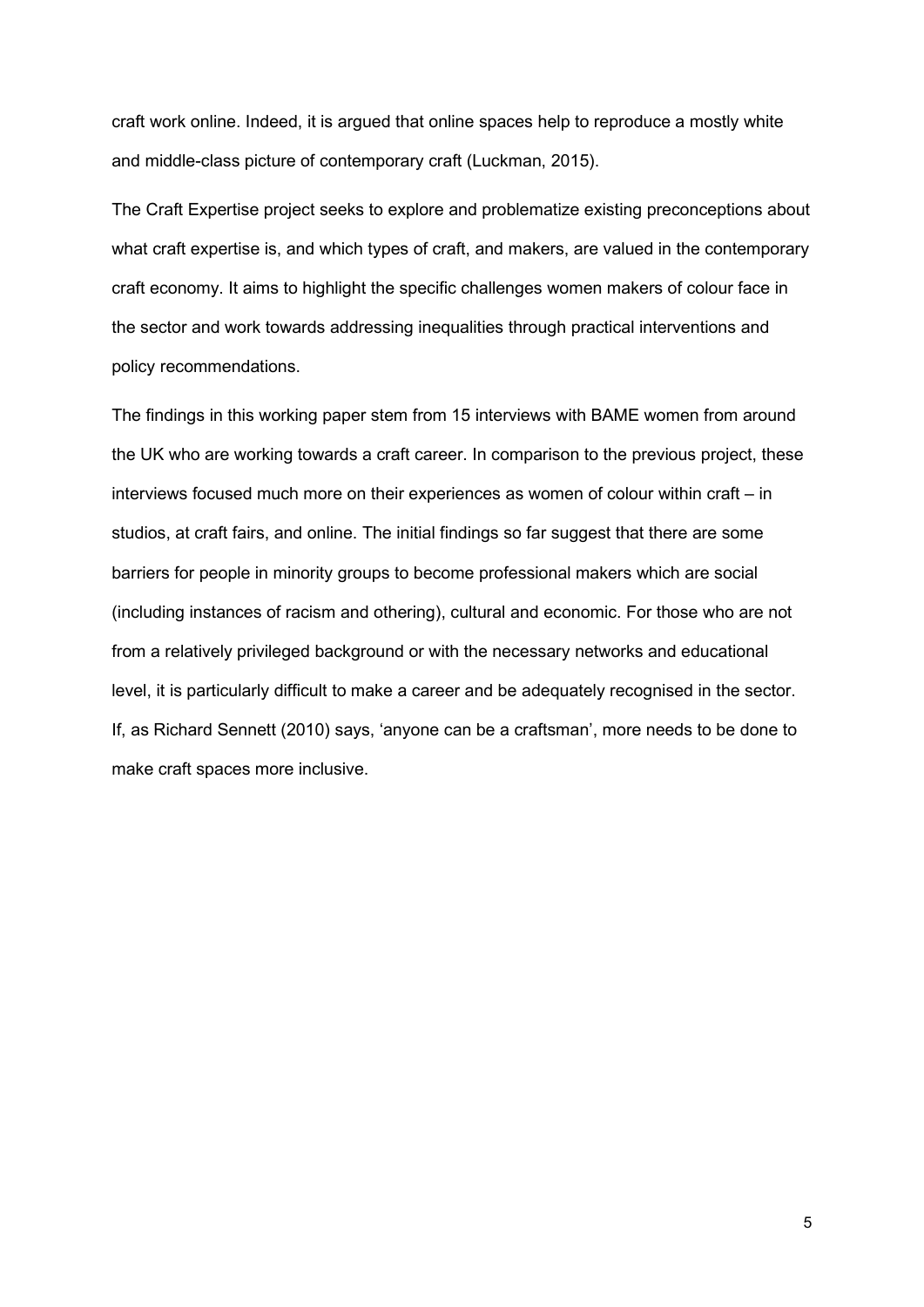craft work online. Indeed, it is argued that online spaces help to reproduce a mostly white and middle-class picture of contemporary craft (Luckman, 2015).

The Craft Expertise project seeks to explore and problematize existing preconceptions about what craft expertise is, and which types of craft, and makers, are valued in the contemporary craft economy. It aims to highlight the specific challenges women makers of colour face in the sector and work towards addressing inequalities through practical interventions and policy recommendations.

The findings in this working paper stem from 15 interviews with BAME women from around the UK who are working towards a craft career. In comparison to the previous project, these interviews focused much more on their experiences as women of colour within craft – in studios, at craft fairs, and online. The initial findings so far suggest that there are some barriers for people in minority groups to become professional makers which are social (including instances of racism and othering), cultural and economic. For those who are not from a relatively privileged background or with the necessary networks and educational level, it is particularly difficult to make a career and be adequately recognised in the sector. If, as Richard Sennett (2010) says, 'anyone can be a craftsman', more needs to be done to make craft spaces more inclusive.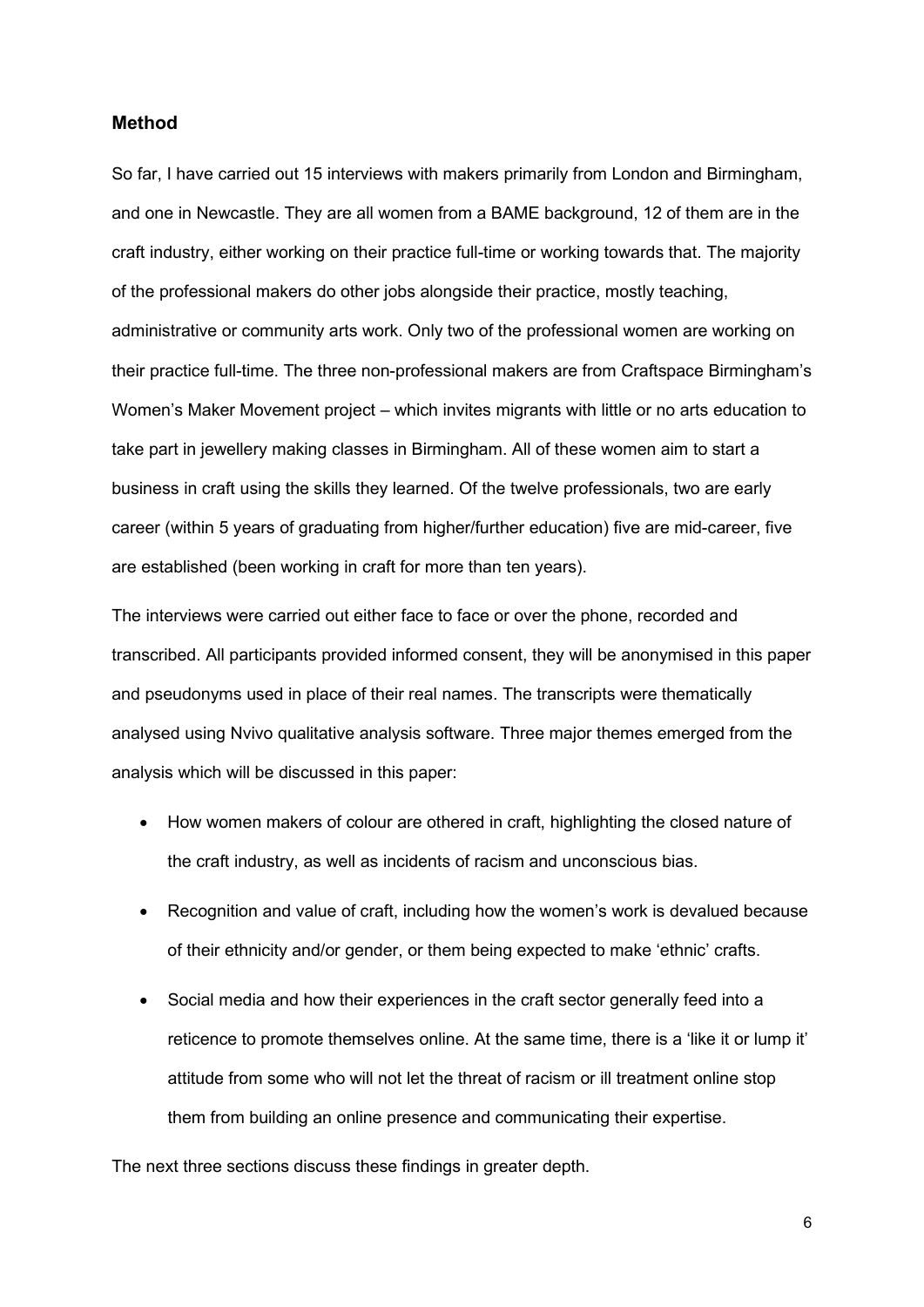#### <span id="page-5-0"></span>**Method**

So far, I have carried out 15 interviews with makers primarily from London and Birmingham, and one in Newcastle. They are all women from a BAME background, 12 of them are in the craft industry, either working on their practice full-time or working towards that. The majority of the professional makers do other jobs alongside their practice, mostly teaching, administrative or community arts work. Only two of the professional women are working on their practice full-time. The three non-professional makers are from Craftspace Birmingham's Women's Maker Movement project – which invites migrants with little or no arts education to take part in jewellery making classes in Birmingham. All of these women aim to start a business in craft using the skills they learned. Of the twelve professionals, two are early career (within 5 years of graduating from higher/further education) five are mid-career, five are established (been working in craft for more than ten years).

The interviews were carried out either face to face or over the phone, recorded and transcribed. All participants provided informed consent, they will be anonymised in this paper and pseudonyms used in place of their real names. The transcripts were thematically analysed using Nvivo qualitative analysis software. Three major themes emerged from the analysis which will be discussed in this paper:

- How women makers of colour are othered in craft, highlighting the closed nature of the craft industry, as well as incidents of racism and unconscious bias.
- Recognition and value of craft, including how the women's work is devalued because of their ethnicity and/or gender, or them being expected to make 'ethnic' crafts.
- Social media and how their experiences in the craft sector generally feed into a reticence to promote themselves online. At the same time, there is a 'like it or lump it' attitude from some who will not let the threat of racism or ill treatment online stop them from building an online presence and communicating their expertise.

The next three sections discuss these findings in greater depth.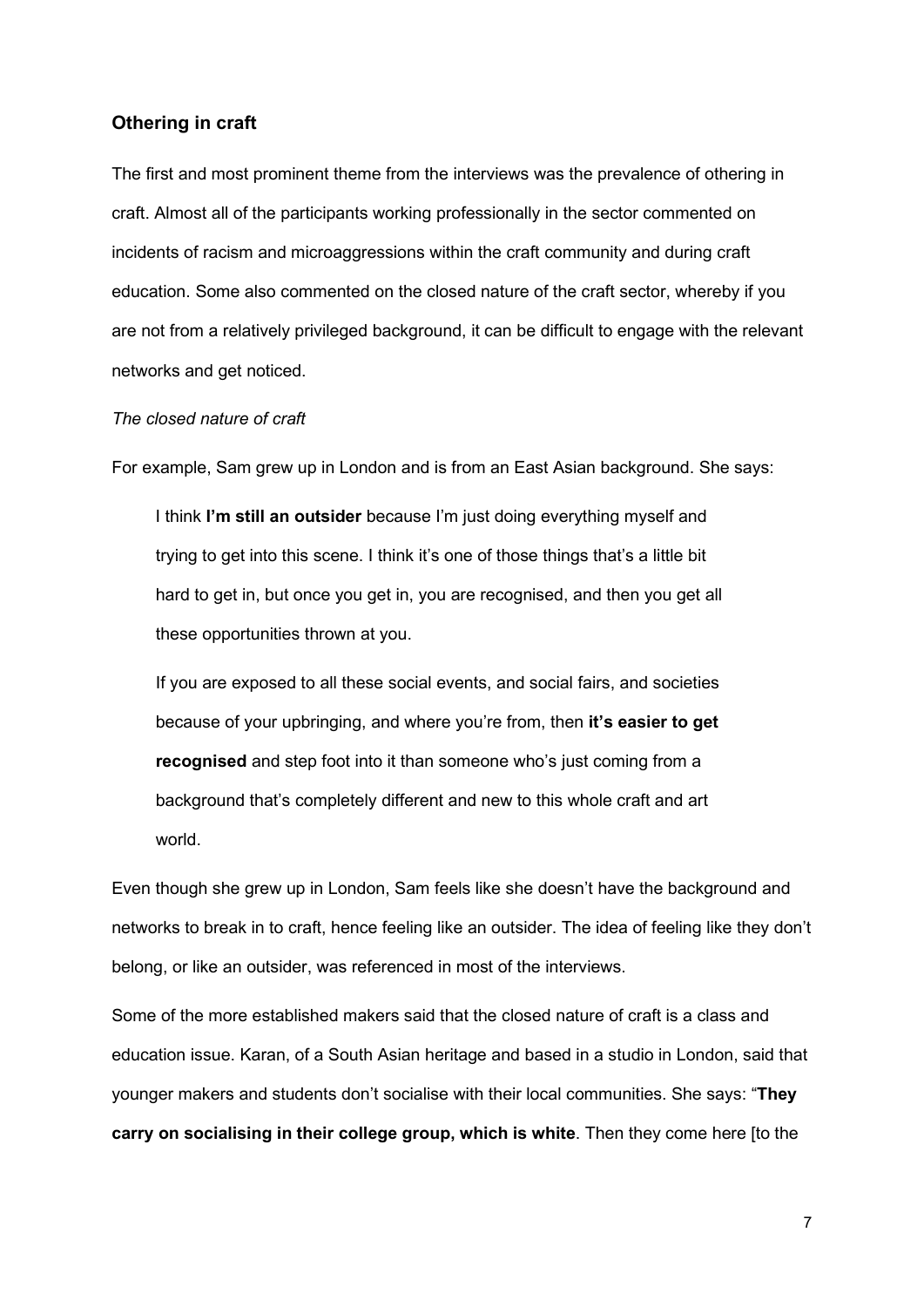#### <span id="page-6-0"></span>**Othering in craft**

The first and most prominent theme from the interviews was the prevalence of othering in craft. Almost all of the participants working professionally in the sector commented on incidents of racism and microaggressions within the craft community and during craft education. Some also commented on the closed nature of the craft sector, whereby if you are not from a relatively privileged background, it can be difficult to engage with the relevant networks and get noticed.

#### <span id="page-6-1"></span>*The closed nature of craft*

For example, Sam grew up in London and is from an East Asian background. She says:

I think **I'm still an outsider** because I'm just doing everything myself and trying to get into this scene. I think it's one of those things that's a little bit hard to get in, but once you get in, you are recognised, and then you get all these opportunities thrown at you.

If you are exposed to all these social events, and social fairs, and societies because of your upbringing, and where you're from, then **it's easier to get recognised** and step foot into it than someone who's just coming from a background that's completely different and new to this whole craft and art world.

Even though she grew up in London, Sam feels like she doesn't have the background and networks to break in to craft, hence feeling like an outsider. The idea of feeling like they don't belong, or like an outsider, was referenced in most of the interviews.

Some of the more established makers said that the closed nature of craft is a class and education issue. Karan, of a South Asian heritage and based in a studio in London, said that younger makers and students don't socialise with their local communities. She says: "**They carry on socialising in their college group, which is white**. Then they come here [to the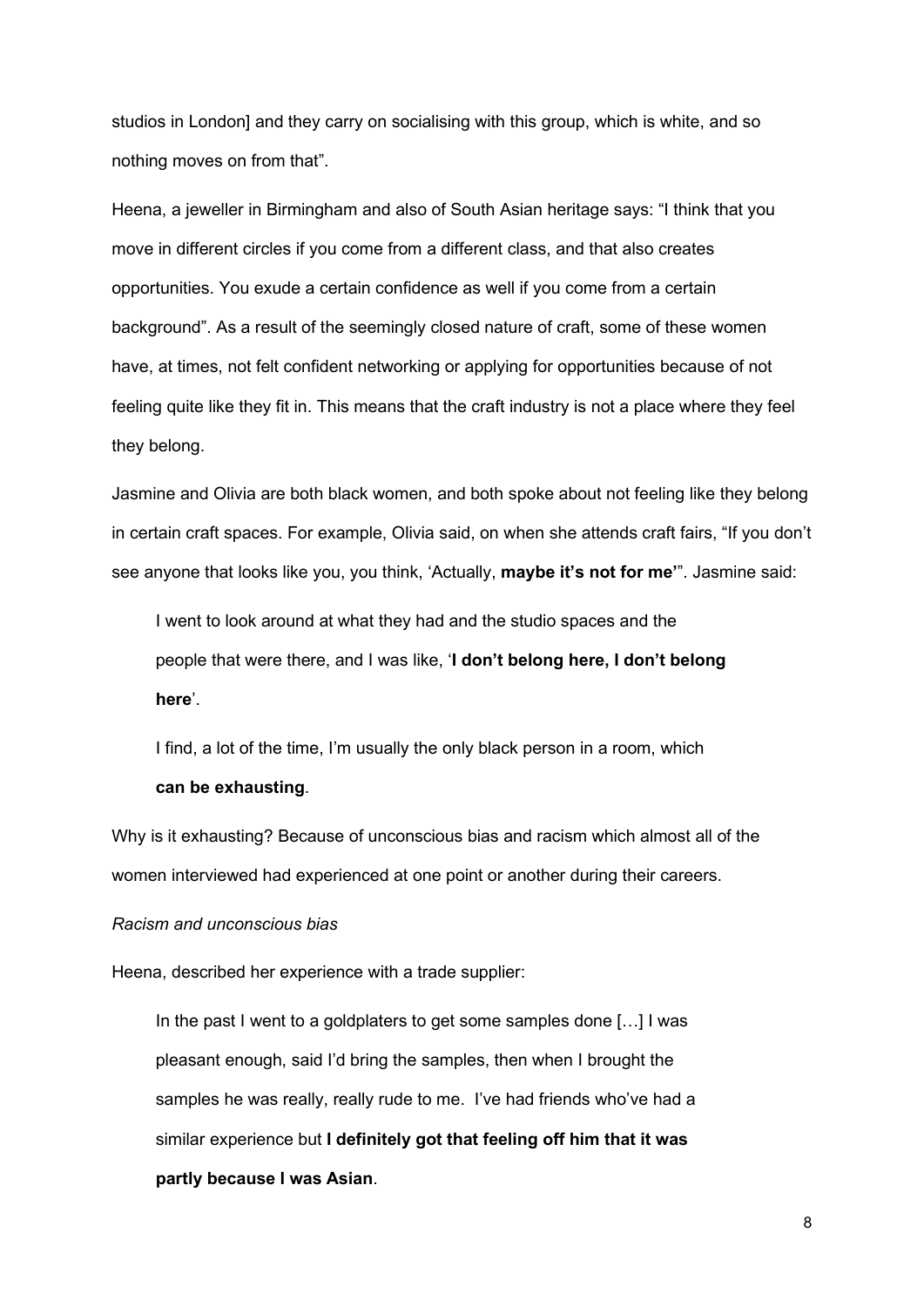studios in London] and they carry on socialising with this group, which is white, and so nothing moves on from that".

Heena, a jeweller in Birmingham and also of South Asian heritage says: "I think that you move in different circles if you come from a different class, and that also creates opportunities. You exude a certain confidence as well if you come from a certain background". As a result of the seemingly closed nature of craft, some of these women have, at times, not felt confident networking or applying for opportunities because of not feeling quite like they fit in. This means that the craft industry is not a place where they feel they belong.

Jasmine and Olivia are both black women, and both spoke about not feeling like they belong in certain craft spaces. For example, Olivia said, on when she attends craft fairs, "If you don't see anyone that looks like you, you think, 'Actually, **maybe it's not for me'**". Jasmine said:

I went to look around at what they had and the studio spaces and the people that were there, and I was like, '**I don't belong here, I don't belong here**'.

I find, a lot of the time, I'm usually the only black person in a room, which **can be exhausting**.

Why is it exhausting? Because of unconscious bias and racism which almost all of the women interviewed had experienced at one point or another during their careers.

#### <span id="page-7-0"></span>*Racism and unconscious bias*

Heena, described her experience with a trade supplier:

In the past I went to a goldplaters to get some samples done […] I was pleasant enough, said I'd bring the samples, then when I brought the samples he was really, really rude to me. I've had friends who've had a similar experience but **I definitely got that feeling off him that it was partly because I was Asian**.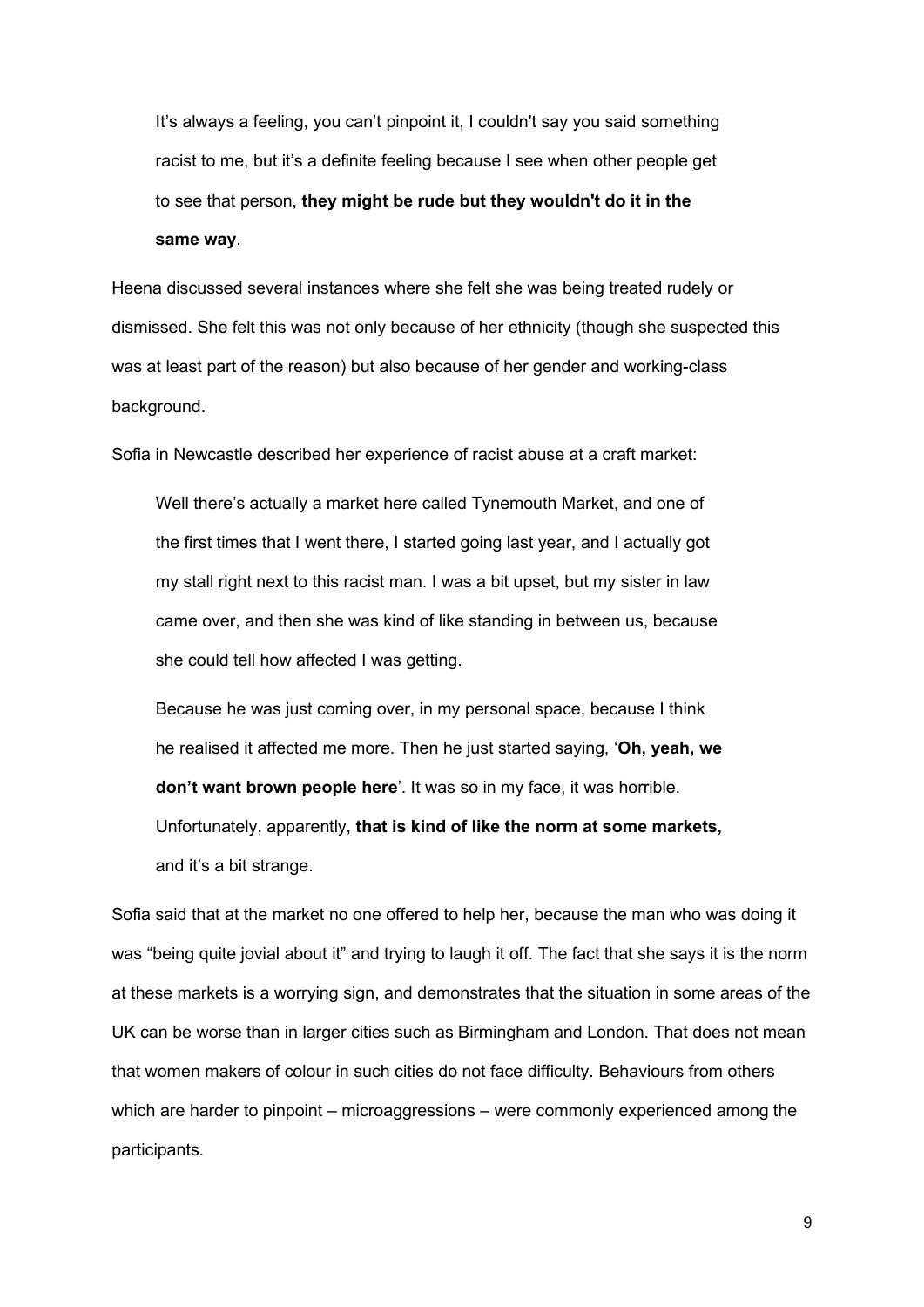It's always a feeling, you can't pinpoint it, I couldn't say you said something racist to me, but it's a definite feeling because I see when other people get to see that person, **they might be rude but they wouldn't do it in the same way**.

Heena discussed several instances where she felt she was being treated rudely or dismissed. She felt this was not only because of her ethnicity (though she suspected this was at least part of the reason) but also because of her gender and working-class background.

Sofia in Newcastle described her experience of racist abuse at a craft market:

Well there's actually a market here called Tynemouth Market, and one of the first times that I went there, I started going last year, and I actually got my stall right next to this racist man. I was a bit upset, but my sister in law came over, and then she was kind of like standing in between us, because she could tell how affected I was getting.

Because he was just coming over, in my personal space, because I think he realised it affected me more. Then he just started saying, '**Oh, yeah, we don't want brown people here**'. It was so in my face, it was horrible.

Unfortunately, apparently, **that is kind of like the norm at some markets,** and it's a bit strange.

Sofia said that at the market no one offered to help her, because the man who was doing it was "being quite jovial about it" and trying to laugh it off. The fact that she says it is the norm at these markets is a worrying sign, and demonstrates that the situation in some areas of the UK can be worse than in larger cities such as Birmingham and London. That does not mean that women makers of colour in such cities do not face difficulty. Behaviours from others which are harder to pinpoint – microaggressions – were commonly experienced among the participants.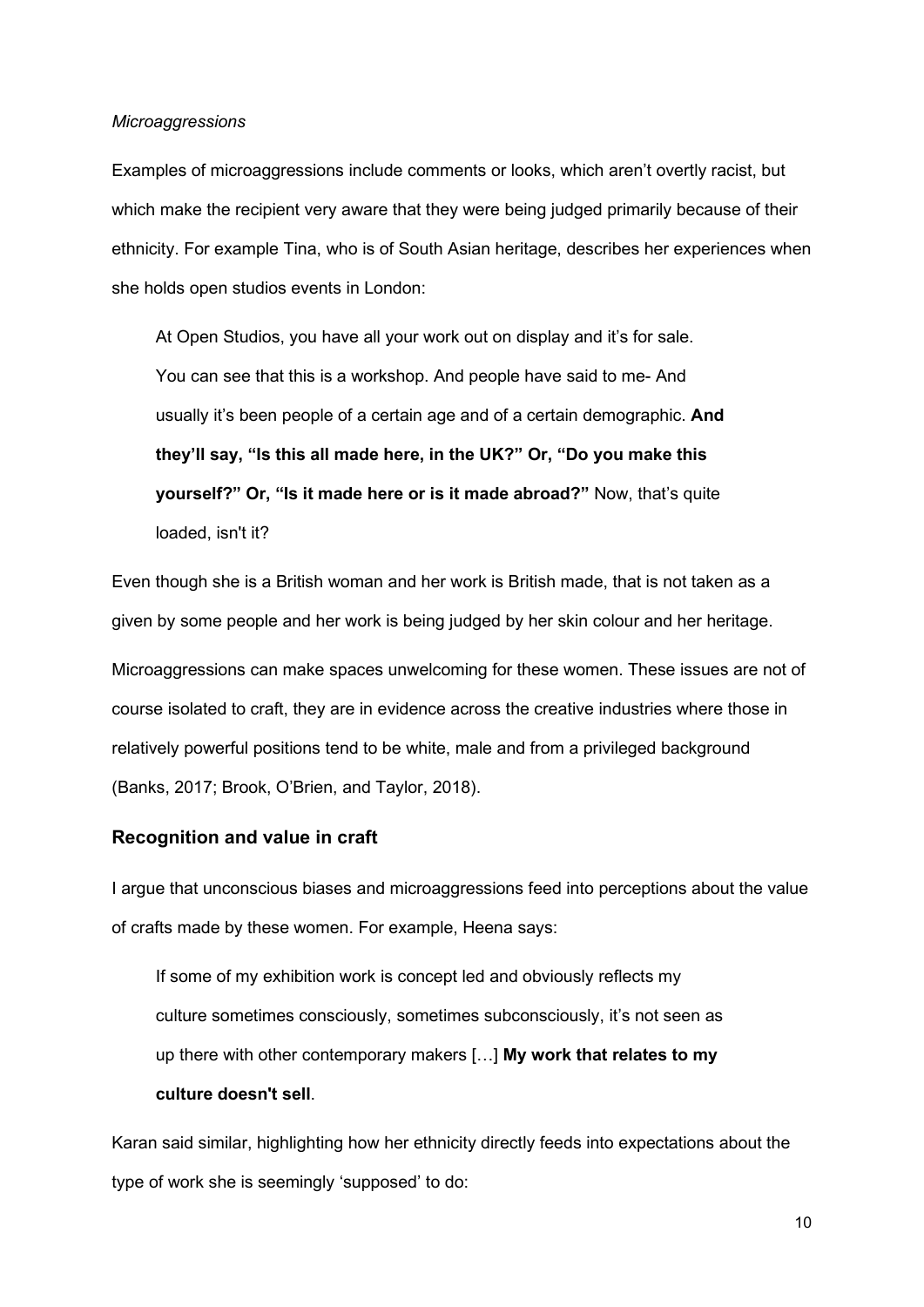#### <span id="page-9-0"></span>*Microaggressions*

Examples of microaggressions include comments or looks, which aren't overtly racist, but which make the recipient very aware that they were being judged primarily because of their ethnicity. For example Tina, who is of South Asian heritage, describes her experiences when she holds open studios events in London:

At Open Studios, you have all your work out on display and it's for sale. You can see that this is a workshop. And people have said to me- And usually it's been people of a certain age and of a certain demographic. **And they'll say, "Is this all made here, in the UK?" Or, "Do you make this yourself?" Or, "Is it made here or is it made abroad?"** Now, that's quite loaded, isn't it?

Even though she is a British woman and her work is British made, that is not taken as a given by some people and her work is being judged by her skin colour and her heritage. Microaggressions can make spaces unwelcoming for these women. These issues are not of course isolated to craft, they are in evidence across the creative industries where those in relatively powerful positions tend to be white, male and from a privileged background (Banks, 2017; Brook, O'Brien, and Taylor, 2018).

#### <span id="page-9-1"></span>**Recognition and value in craft**

I argue that unconscious biases and microaggressions feed into perceptions about the value of crafts made by these women. For example, Heena says:

If some of my exhibition work is concept led and obviously reflects my culture sometimes consciously, sometimes subconsciously, it's not seen as up there with other contemporary makers […] **My work that relates to my culture doesn't sell**.

Karan said similar, highlighting how her ethnicity directly feeds into expectations about the type of work she is seemingly 'supposed' to do: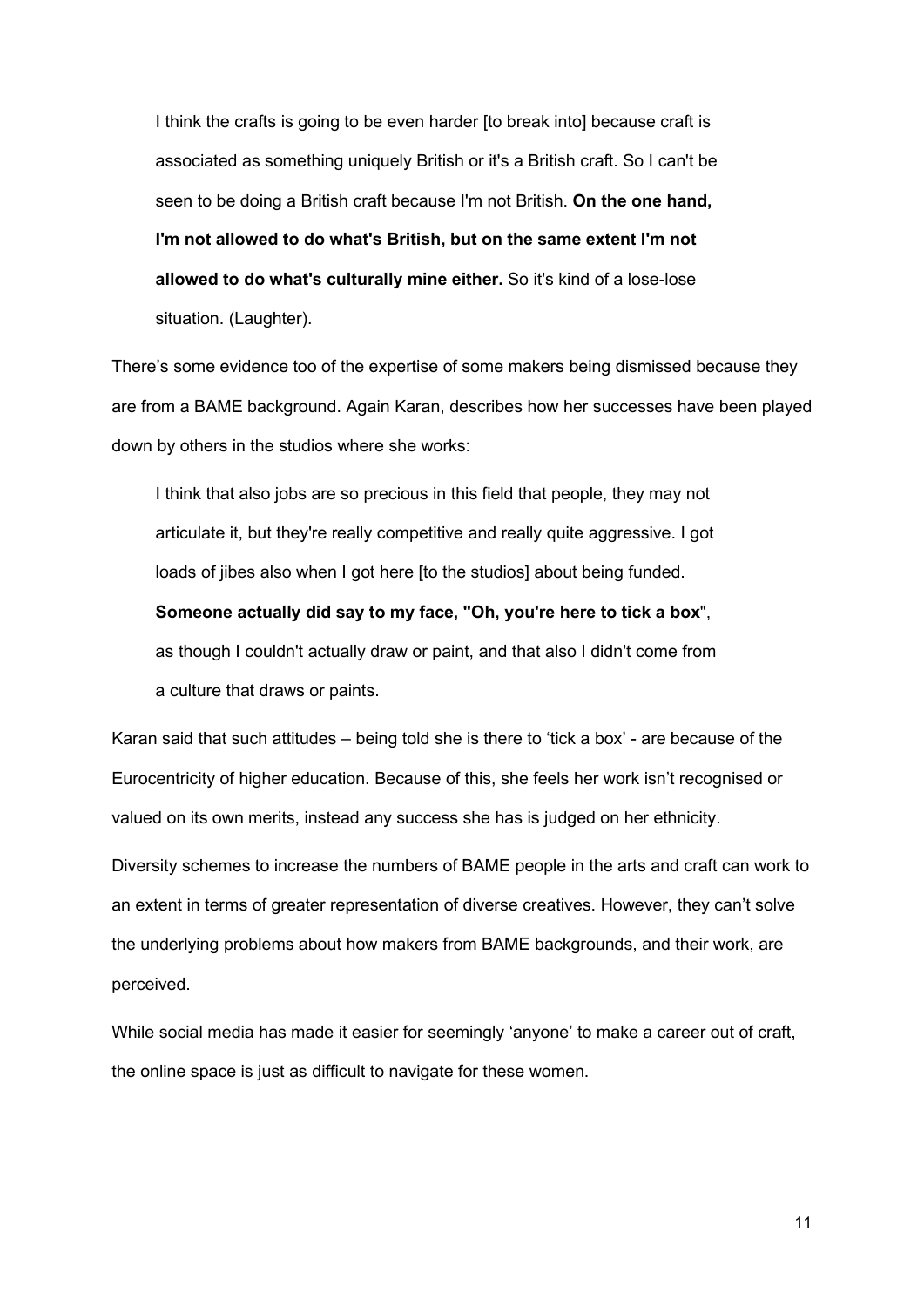I think the crafts is going to be even harder [to break into] because craft is associated as something uniquely British or it's a British craft. So I can't be seen to be doing a British craft because I'm not British. **On the one hand, I'm not allowed to do what's British, but on the same extent I'm not allowed to do what's culturally mine either.** So it's kind of a lose-lose situation. (Laughter).

There's some evidence too of the expertise of some makers being dismissed because they are from a BAME background. Again Karan, describes how her successes have been played down by others in the studios where she works:

I think that also jobs are so precious in this field that people, they may not articulate it, but they're really competitive and really quite aggressive. I got loads of jibes also when I got here [to the studios] about being funded.

#### **Someone actually did say to my face, "Oh, you're here to tick a box**",

as though I couldn't actually draw or paint, and that also I didn't come from a culture that draws or paints.

Karan said that such attitudes – being told she is there to 'tick a box' - are because of the Eurocentricity of higher education. Because of this, she feels her work isn't recognised or valued on its own merits, instead any success she has is judged on her ethnicity.

Diversity schemes to increase the numbers of BAME people in the arts and craft can work to an extent in terms of greater representation of diverse creatives. However, they can't solve the underlying problems about how makers from BAME backgrounds, and their work, are perceived.

While social media has made it easier for seemingly 'anyone' to make a career out of craft, the online space is just as difficult to navigate for these women.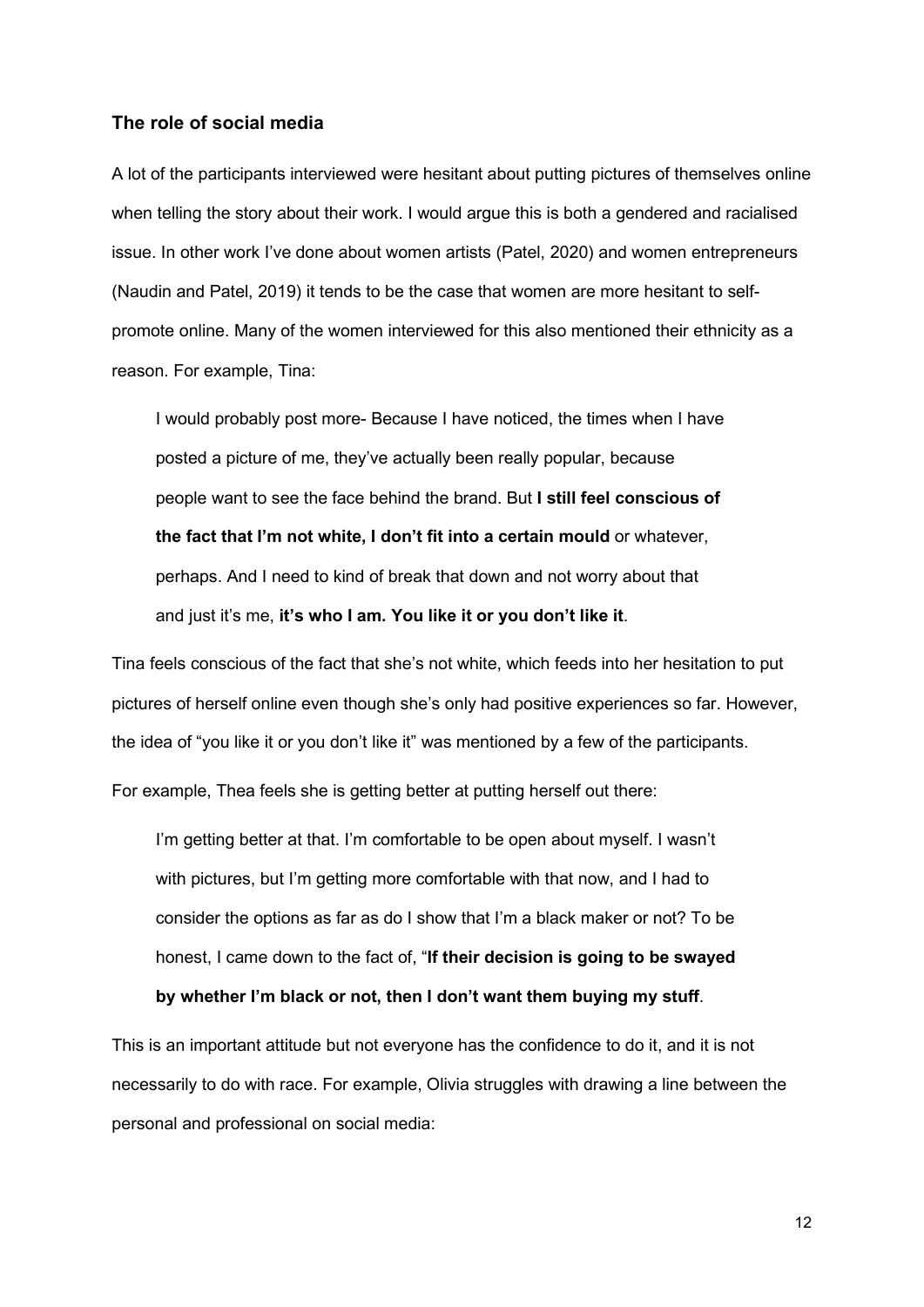#### <span id="page-11-0"></span>**The role of social media**

A lot of the participants interviewed were hesitant about putting pictures of themselves online when telling the story about their work. I would argue this is both a gendered and racialised issue. In other work I've done about women artists (Patel, 2020) and women entrepreneurs (Naudin and Patel, 2019) it tends to be the case that women are more hesitant to selfpromote online. Many of the women interviewed for this also mentioned their ethnicity as a reason. For example, Tina:

I would probably post more- Because I have noticed, the times when I have posted a picture of me, they've actually been really popular, because people want to see the face behind the brand. But **I still feel conscious of the fact that I'm not white, I don't fit into a certain mould** or whatever, perhaps. And I need to kind of break that down and not worry about that and just it's me, **it's who I am. You like it or you don't like it**.

Tina feels conscious of the fact that she's not white, which feeds into her hesitation to put pictures of herself online even though she's only had positive experiences so far. However, the idea of "you like it or you don't like it" was mentioned by a few of the participants.

For example, Thea feels she is getting better at putting herself out there:

I'm getting better at that. I'm comfortable to be open about myself. I wasn't with pictures, but I'm getting more comfortable with that now, and I had to consider the options as far as do I show that I'm a black maker or not? To be honest, I came down to the fact of, "**If their decision is going to be swayed by whether I'm black or not, then I don't want them buying my stuff**.

This is an important attitude but not everyone has the confidence to do it, and it is not necessarily to do with race. For example, Olivia struggles with drawing a line between the personal and professional on social media: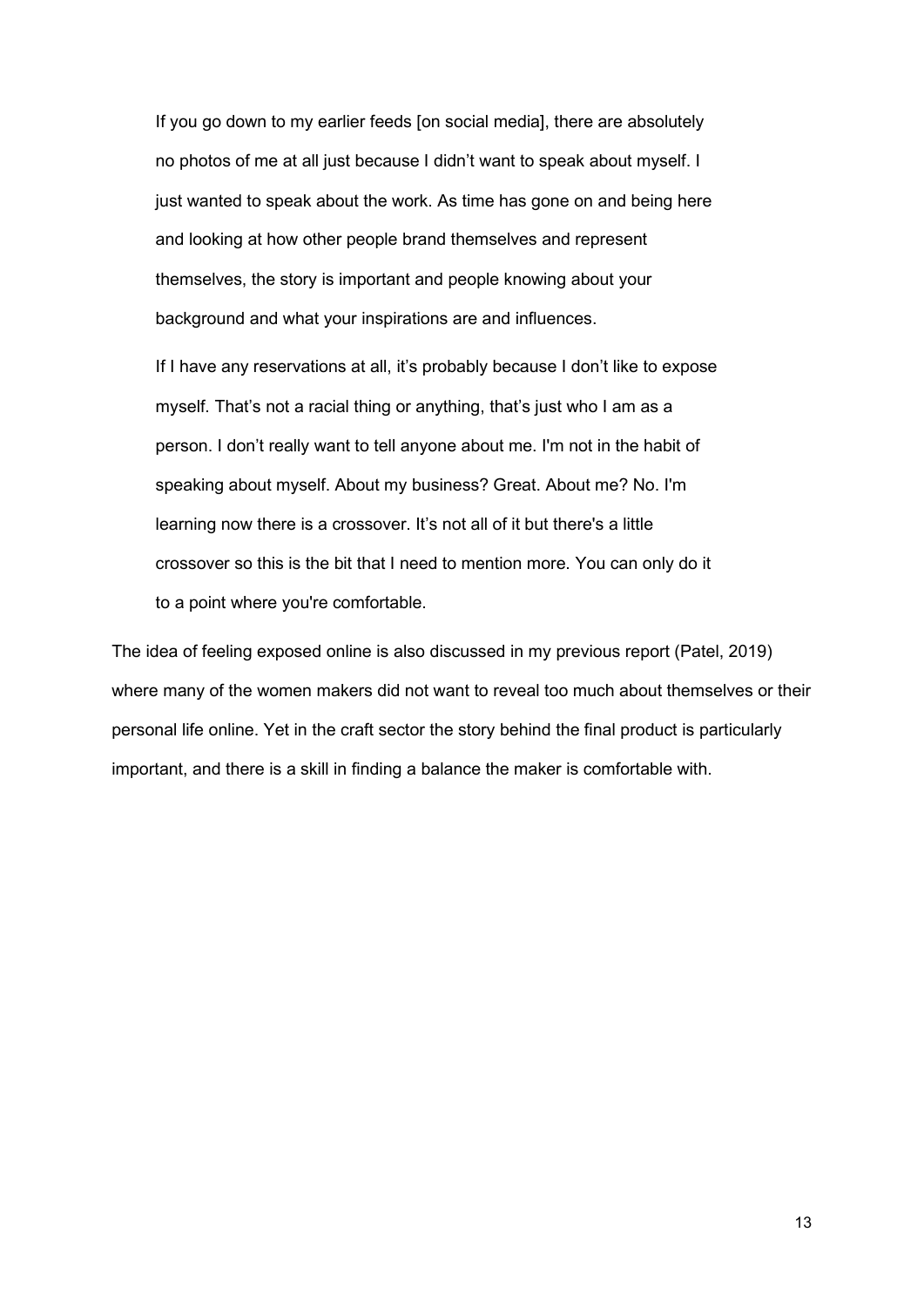If you go down to my earlier feeds [on social media], there are absolutely no photos of me at all just because I didn't want to speak about myself. I just wanted to speak about the work. As time has gone on and being here and looking at how other people brand themselves and represent themselves, the story is important and people knowing about your background and what your inspirations are and influences.

If I have any reservations at all, it's probably because I don't like to expose myself. That's not a racial thing or anything, that's just who I am as a person. I don't really want to tell anyone about me. I'm not in the habit of speaking about myself. About my business? Great. About me? No. I'm learning now there is a crossover. It's not all of it but there's a little crossover so this is the bit that I need to mention more. You can only do it to a point where you're comfortable.

<span id="page-12-0"></span>The idea of feeling exposed online is also discussed in my previous report (Patel, 2019) where many of the women makers did not want to reveal too much about themselves or their personal life online. Yet in the craft sector the story behind the final product is particularly important, and there is a skill in finding a balance the maker is comfortable with.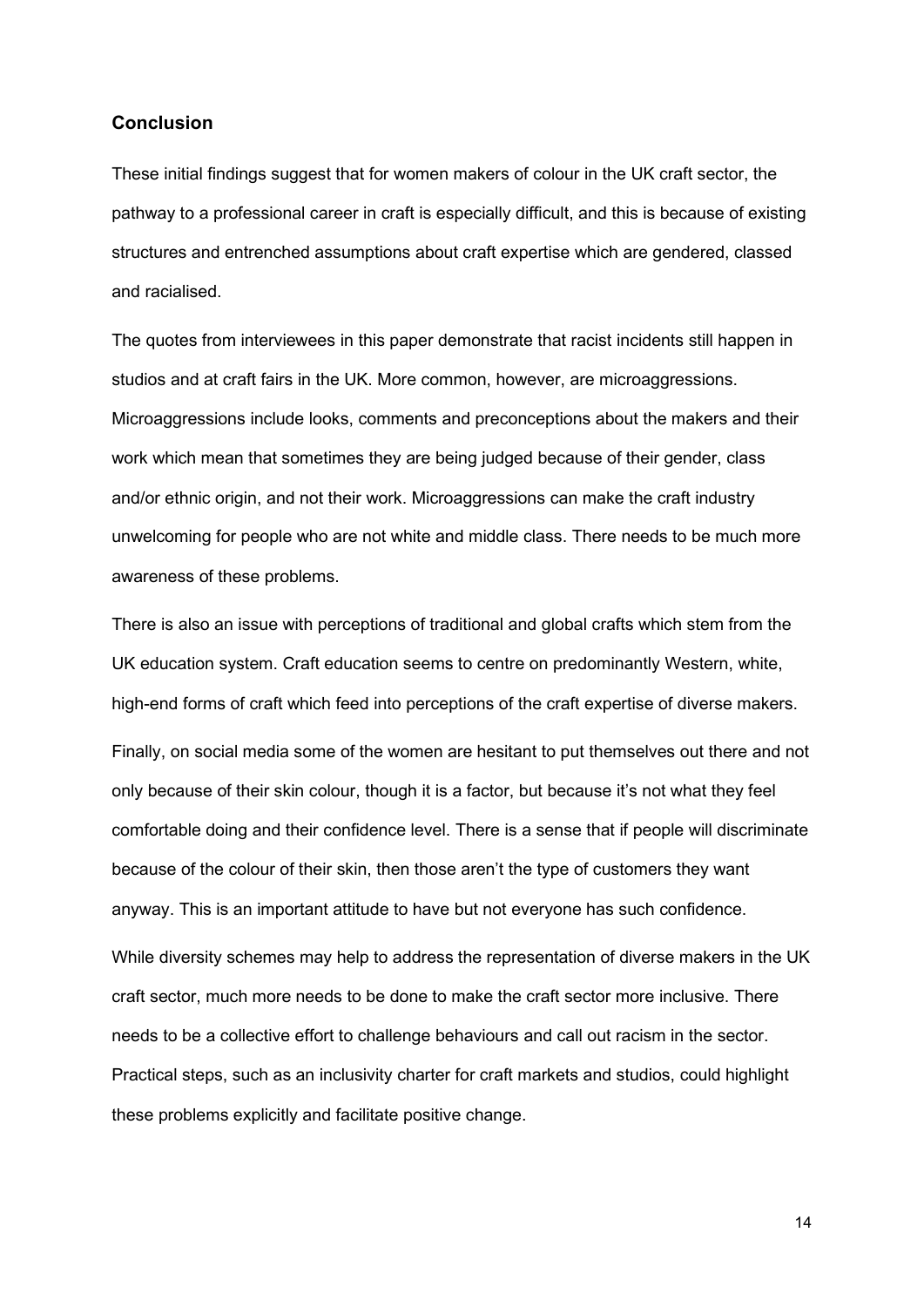#### **Conclusion**

These initial findings suggest that for women makers of colour in the UK craft sector, the pathway to a professional career in craft is especially difficult, and this is because of existing structures and entrenched assumptions about craft expertise which are gendered, classed and racialised.

The quotes from interviewees in this paper demonstrate that racist incidents still happen in studios and at craft fairs in the UK. More common, however, are microaggressions. Microaggressions include looks, comments and preconceptions about the makers and their work which mean that sometimes they are being judged because of their gender, class and/or ethnic origin, and not their work. Microaggressions can make the craft industry unwelcoming for people who are not white and middle class. There needs to be much more awareness of these problems.

There is also an issue with perceptions of traditional and global crafts which stem from the UK education system. Craft education seems to centre on predominantly Western, white, high-end forms of craft which feed into perceptions of the craft expertise of diverse makers. Finally, on social media some of the women are hesitant to put themselves out there and not only because of their skin colour, though it is a factor, but because it's not what they feel comfortable doing and their confidence level. There is a sense that if people will discriminate because of the colour of their skin, then those aren't the type of customers they want anyway. This is an important attitude to have but not everyone has such confidence. While diversity schemes may help to address the representation of diverse makers in the UK

craft sector, much more needs to be done to make the craft sector more inclusive. There needs to be a collective effort to challenge behaviours and call out racism in the sector. Practical steps, such as an inclusivity charter for craft markets and studios, could highlight these problems explicitly and facilitate positive change.